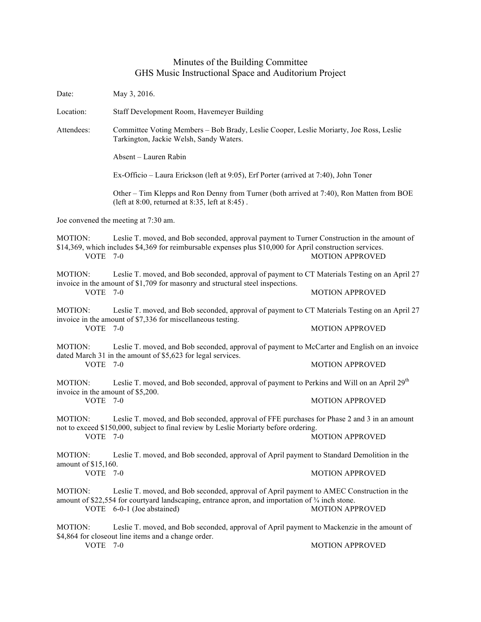## Minutes of the Building Committee GHS Music Instructional Space and Auditorium Project

| Date:                                                           | May 3, 2016.                                                                                                                                                                                                                         |                        |  |
|-----------------------------------------------------------------|--------------------------------------------------------------------------------------------------------------------------------------------------------------------------------------------------------------------------------------|------------------------|--|
| Location:                                                       | Staff Development Room, Havemeyer Building                                                                                                                                                                                           |                        |  |
| Attendees:                                                      | Committee Voting Members - Bob Brady, Leslie Cooper, Leslie Moriarty, Joe Ross, Leslie<br>Tarkington, Jackie Welsh, Sandy Waters.                                                                                                    |                        |  |
|                                                                 | Absent - Lauren Rabin                                                                                                                                                                                                                |                        |  |
|                                                                 | Ex-Officio – Laura Erickson (left at 9:05), Erf Porter (arrived at 7:40), John Toner                                                                                                                                                 |                        |  |
|                                                                 | Other - Tim Klepps and Ron Denny from Turner (both arrived at 7:40), Ron Matten from BOE<br>(left at 8:00, returned at 8:35, left at 8:45).                                                                                          |                        |  |
| Joe convened the meeting at 7:30 am.                            |                                                                                                                                                                                                                                      |                        |  |
| MOTION:<br>VOTE 7-0                                             | Leslie T. moved, and Bob seconded, approval payment to Turner Construction in the amount of<br>\$14,369, which includes \$4,369 for reimbursable expenses plus \$10,000 for April construction services.                             | <b>MOTION APPROVED</b> |  |
| <b>MOTION:</b><br>VOTE 7-0                                      | Leslie T. moved, and Bob seconded, approval of payment to CT Materials Testing on an April 27<br>invoice in the amount of \$1,709 for masonry and structural steel inspections.                                                      | <b>MOTION APPROVED</b> |  |
| <b>MOTION:</b><br><b>VOTE</b>                                   | Leslie T. moved, and Bob seconded, approval of payment to CT Materials Testing on an April 27<br>invoice in the amount of \$7,336 for miscellaneous testing.<br>$7-0$                                                                | <b>MOTION APPROVED</b> |  |
| MOTION:<br>VOTE 7-0                                             | Leslie T. moved, and Bob seconded, approval of payment to McCarter and English on an invoice<br>dated March 31 in the amount of \$5,623 for legal services.                                                                          | <b>MOTION APPROVED</b> |  |
| <b>MOTION:</b><br>invoice in the amount of \$5,200.<br>VOTE 7-0 | Leslie T. moved, and Bob seconded, approval of payment to Perkins and Will on an April 29 <sup>th</sup>                                                                                                                              | <b>MOTION APPROVED</b> |  |
| MOTION:<br>VOTE 7-0                                             | Leslie T. moved, and Bob seconded, approval of FFE purchases for Phase 2 and 3 in an amount<br>not to exceed \$150,000, subject to final review by Leslie Moriarty before ordering.                                                  | <b>MOTION APPROVED</b> |  |
| MOTION:<br>amount of \$15,160.                                  | Leslie T. moved, and Bob seconded, approval of April payment to Standard Demolition in the                                                                                                                                           |                        |  |
| VOTE 7-0                                                        |                                                                                                                                                                                                                                      | <b>MOTION APPROVED</b> |  |
| <b>MOTION:</b>                                                  | Leslie T. moved, and Bob seconded, approval of April payment to AMEC Construction in the<br>amount of \$22,554 for courtyard landscaping, entrance apron, and importation of $\frac{3}{4}$ inch stone.<br>VOTE 6-0-1 (Joe abstained) | <b>MOTION APPROVED</b> |  |
| MOTION:<br>VOTE                                                 | Leslie T. moved, and Bob seconded, approval of April payment to Mackenzie in the amount of<br>\$4,864 for closeout line items and a change order.<br>$7 - 0$                                                                         | <b>MOTION APPROVED</b> |  |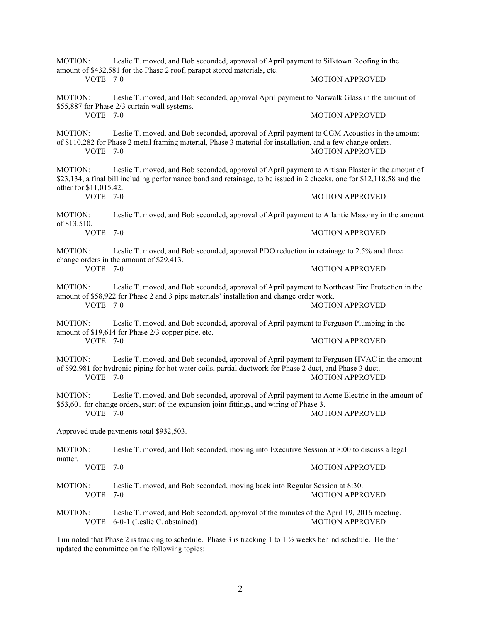| Leslie T. moved, and Bob seconded, approval of April payment to Silktown Roofing in the<br>MOTION:<br>amount of \$432,581 for the Phase 2 roof, parapet stored materials, etc. |                                                                                                                                                                                                                            |                        |  |
|--------------------------------------------------------------------------------------------------------------------------------------------------------------------------------|----------------------------------------------------------------------------------------------------------------------------------------------------------------------------------------------------------------------------|------------------------|--|
| <b>VOTE 7-0</b>                                                                                                                                                                |                                                                                                                                                                                                                            | <b>MOTION APPROVED</b> |  |
| MOTION:                                                                                                                                                                        | Leslie T. moved, and Bob seconded, approval April payment to Norwalk Glass in the amount of<br>\$55,887 for Phase 2/3 curtain wall systems.                                                                                |                        |  |
| VOTE 7-0                                                                                                                                                                       |                                                                                                                                                                                                                            | <b>MOTION APPROVED</b> |  |
| MOTION:<br>VOTE 7-0                                                                                                                                                            | Leslie T. moved, and Bob seconded, approval of April payment to CGM Acoustics in the amount<br>of \$110,282 for Phase 2 metal framing material, Phase 3 material for installation, and a few change orders.                | <b>MOTION APPROVED</b> |  |
| MOTION:<br>other for \$11,015.42.                                                                                                                                              | Leslie T. moved, and Bob seconded, approval of April payment to Artisan Plaster in the amount of<br>\$23,134, a final bill including performance bond and retainage, to be issued in 2 checks, one for \$12,118.58 and the |                        |  |
| VOTE 7-0                                                                                                                                                                       |                                                                                                                                                                                                                            | <b>MOTION APPROVED</b> |  |
| MOTION:<br>of \$13,510.<br>VOTE 7-0                                                                                                                                            | Leslie T. moved, and Bob seconded, approval of April payment to Atlantic Masonry in the amount                                                                                                                             |                        |  |
|                                                                                                                                                                                |                                                                                                                                                                                                                            | <b>MOTION APPROVED</b> |  |
| MOTION:<br>change orders in the amount of \$29,413.<br><b>VOTE 7-0</b>                                                                                                         | Leslie T. moved, and Bob seconded, approval PDO reduction in retainage to 2.5% and three                                                                                                                                   |                        |  |
|                                                                                                                                                                                |                                                                                                                                                                                                                            | <b>MOTION APPROVED</b> |  |
| MOTION:                                                                                                                                                                        | Leslie T. moved, and Bob seconded, approval of April payment to Northeast Fire Protection in the<br>amount of \$58,922 for Phase 2 and 3 pipe materials' installation and change order work.                               |                        |  |
| <b>VOTE 7-0</b>                                                                                                                                                                |                                                                                                                                                                                                                            | <b>MOTION APPROVED</b> |  |
| Leslie T. moved, and Bob seconded, approval of April payment to Ferguson Plumbing in the<br>MOTION:<br>amount of \$19,614 for Phase 2/3 copper pipe, etc.                      |                                                                                                                                                                                                                            |                        |  |
| VOTE 7-0                                                                                                                                                                       |                                                                                                                                                                                                                            | <b>MOTION APPROVED</b> |  |
| MOTION:<br>VOTE 7-0                                                                                                                                                            | Leslie T. moved, and Bob seconded, approval of April payment to Ferguson HVAC in the amount<br>of \$92,981 for hydronic piping for hot water coils, partial ductwork for Phase 2 duct, and Phase 3 duct.                   | <b>MOTION APPROVED</b> |  |
| MOTION:                                                                                                                                                                        | Leslie T. moved, and Bob seconded, approval of April payment to Acme Electric in the amount of<br>\$53,601 for change orders, start of the expansion joint fittings, and wiring of Phase 3.                                |                        |  |
| VOTE 7-0                                                                                                                                                                       |                                                                                                                                                                                                                            | <b>MOTION APPROVED</b> |  |
| Approved trade payments total \$932,503.                                                                                                                                       |                                                                                                                                                                                                                            |                        |  |
| MOTION:<br>matter.                                                                                                                                                             | Leslie T. moved, and Bob seconded, moving into Executive Session at 8:00 to discuss a legal                                                                                                                                |                        |  |
| VOTE 7-0                                                                                                                                                                       |                                                                                                                                                                                                                            | <b>MOTION APPROVED</b> |  |
| MOTION:<br><b>VOTE</b>                                                                                                                                                         | Leslie T. moved, and Bob seconded, moving back into Regular Session at 8:30.<br>7-0                                                                                                                                        | <b>MOTION APPROVED</b> |  |
| MOTION:<br><b>VOTE</b>                                                                                                                                                         | Leslie T. moved, and Bob seconded, approval of the minutes of the April 19, 2016 meeting.<br>6-0-1 (Leslie C. abstained)                                                                                                   | <b>MOTION APPROVED</b> |  |
| Tim noted that Phase 2 is tracking to schodule Phase 3 is tracking 1 to 1 $\frac{1}{2}$ weaks behind schodule He then                                                          |                                                                                                                                                                                                                            |                        |  |

Tim noted that Phase 2 is tracking to schedule. Phase 3 is tracking 1 to  $1\frac{1}{2}$  weeks behind schedule. He then updated the committee on the following topics: